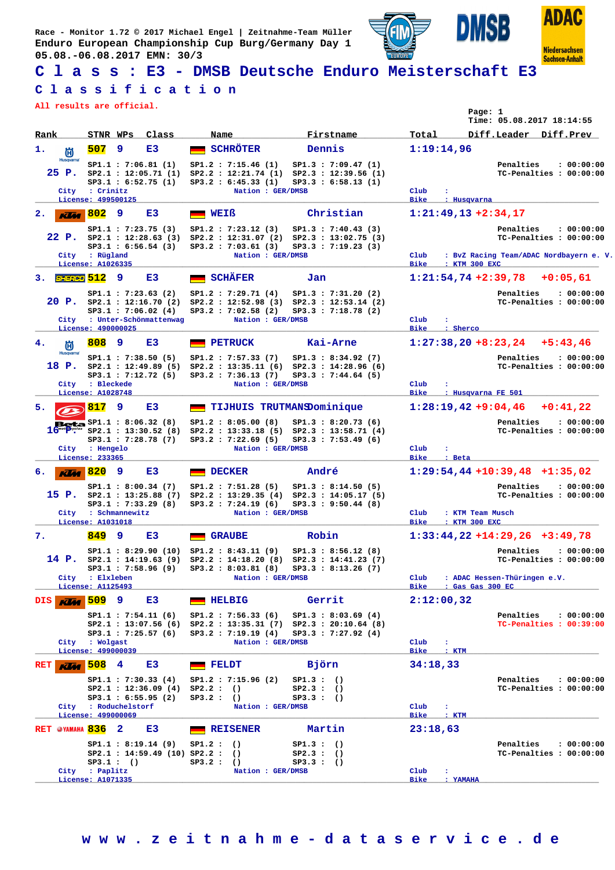**Race - Monitor 1.72 © 2017 Michael Engel | Zeitnahme-Team Müller Enduro European Championship Cup Burg/Germany Day 1 05.08.-06.08.2017 EMN: 30/3**





**Niedersachsen Sachsen-Anhalt** 

**ISB** 

D

**C l a s s : E3 - DMSB Deutsche Enduro Meisterschaft E3**

## **C l a s s i f i c a t i o n**

**All results are official.**

| Rank                      | STNR WPs                            |          | Class                                                  | Name         |                                                                                    |                        | Firstname                                  | Total               |                      | Time: 05.08.2017 18:14:55<br>Diff.Leader Diff.Prev |                         |                         |
|---------------------------|-------------------------------------|----------|--------------------------------------------------------|--------------|------------------------------------------------------------------------------------|------------------------|--------------------------------------------|---------------------|----------------------|----------------------------------------------------|-------------------------|-------------------------|
| 1.                        | 507                                 | 9        | E3                                                     |              | <b>SCHRÖTER</b>                                                                    |                        | Dennis                                     |                     | 1:19:14,96           |                                                    |                         |                         |
| 尚<br>Husqvarna            |                                     |          |                                                        |              |                                                                                    |                        |                                            |                     |                      |                                                    |                         |                         |
|                           |                                     |          | SP1.1: 7:06.81 (1)<br>$25$ P. $SP2.1$ : 12:05.71 (1)   |              | SP1.2 : 7:15.46 (1)<br>SP2.2 : 12:21.74 (1) SP2.3 : 12:39.56 (1)                   |                        | SP1.3 : 7:09.47(1)                         |                     |                      | Penalties                                          | TC-Penalties : 00:00:00 | : 00:00:00              |
|                           |                                     |          | SP3.1 : 6:52.75 (1)                                    |              | SP3.2 : 6:45.33(1)                                                                 |                        | SP3.3 : 6:58.13 (1)                        |                     |                      |                                                    |                         |                         |
| City                      | : Crinitz<br>License: 499500125     |          |                                                        |              | Nation : GER/DMSB                                                                  |                        |                                            | Club<br><b>Bike</b> | : Husqvarna          |                                                    |                         |                         |
| 2.                        | <b>KTM</b> 802                      | 9        | E3                                                     | WEIß         |                                                                                    |                        | Christian                                  |                     |                      | $1:21:49,13+2:34,17$                               |                         |                         |
|                           |                                     |          |                                                        |              |                                                                                    |                        |                                            |                     |                      |                                                    |                         |                         |
|                           |                                     |          | SP1.1 : 7:23.75(3)<br>22 P. $SP2.1 : 12:28.63$ (3)     |              | SP1.2 : 7:23.12(3)<br>SP2.2 : 12:31.07(2)                                          |                        | SP1.3 : 7:40.43(3)<br>SP2.3 : 13:02.75 (3) |                     |                      | Penalties                                          | TC-Penalties : 00:00:00 | : 00:00:00              |
|                           |                                     |          | SP3.1 : 6:56.54 (3)                                    |              | SP3.2 : 7:03.61(3)                                                                 |                        | SP3.3 : 7:19.23(3)                         |                     |                      |                                                    |                         |                         |
|                           | City : Rügland<br>License: A1026335 |          |                                                        |              | Nation : GER/DMSB                                                                  |                        |                                            | Club<br><b>Bike</b> | : KTM 300 EXC        | : BvZ Racing Team/ADAC Nordbayern e. V.            |                         |                         |
| <i>SHERGO</i> 512<br>3.   |                                     | 9        | E3                                                     |              | <b>SCHÄFER</b>                                                                     | Jan                    |                                            |                     |                      | $1:21:54,74$ +2:39,78                              |                         | $+0:05,61$              |
|                           |                                     |          |                                                        |              |                                                                                    |                        |                                            |                     |                      |                                                    |                         |                         |
|                           |                                     |          | SP1.1 : 7:23.63 (2)<br>$20$ P. $SP2.1$ : 12:16.70 (2)  |              | SP1.2 : 7:29.71 (4)<br>SP2.2 : 12:52.98 (3) SP2.3 : 12:53.14 (2)                   |                        | SP1.3 : 7:31.20(2)                         |                     |                      | Penalties                                          | TC-Penalties : 00:00:00 | : 00:00:00              |
|                           |                                     |          | SP3.1 : 7:06.02(4)                                     |              | SP3.2 : 7:02.58 (2)                                                                |                        | $SP3.3$ : 7:18.78 (2)                      |                     |                      |                                                    |                         |                         |
|                           | License: 490000025                  |          | City : Unter-Schönmattenwag                            |              | Nation : GER/DMSB                                                                  |                        |                                            | Club<br><b>Bike</b> | ÷<br>: Sherco        |                                                    |                         |                         |
| 4.<br>尚                   | 808                                 | 9        | E3                                                     |              | <b>PETRUCK</b>                                                                     |                        | Kai-Arne                                   |                     |                      | $1:27:38,20+8:23,24$ $+5:43,46$                    |                         |                         |
| Husqvarna                 |                                     |          | SP1.1 : 7:38.50 (5)                                    |              | SP1.2 : 7:57.33 (7)                                                                |                        | SP1.3 : 8:34.92(7)                         |                     |                      | Penalties                                          |                         | : 00:00:00              |
| 18 P.                     |                                     |          | SP2.1 : 12:49.89(5)                                    |              | SP2.2 : 13:35.11(6)                                                                |                        | SP2.3 : 14:28.96(6)                        |                     |                      |                                                    | TC-Penalties : 00:00:00 |                         |
|                           |                                     |          | SP3.1 : 7:12.72 (5)                                    |              | SP3.2: 7:36.13 (7)                                                                 |                        | $SP3.3$ : 7:44.64 (5)                      |                     |                      |                                                    |                         |                         |
| City                      | : Bleckede<br>License: A1028748     |          |                                                        |              | Nation : GER/DMSB                                                                  |                        |                                            | Club<br><b>Bike</b> |                      | : Husqvarna FE 501                                 |                         |                         |
| 5.                        | 817                                 | 9        | E3                                                     |              | <b>TIJHUIS TRUTMANSDominique</b>                                                   |                        |                                            |                     |                      | $1:28:19,42+9:04,46$                               |                         | $+0:41.22$              |
|                           |                                     |          | <b>Beta</b> $SP1.1 : 8:06.32(8)$                       |              | SP1.2 : 8:05.00(8)                                                                 |                        | SP1.3 : 8:20.73(6)                         |                     |                      | Penalties                                          |                         | : 00:00:00              |
|                           |                                     |          | $16^{mot}$ $P'''''$ sp2.1 : 13:30.52 (8)               |              | SP2.2 : 13:33.18 (5) SP2.3 : 13:58.71 (4)                                          |                        |                                            |                     |                      |                                                    | TC-Penalties : 00:00:00 |                         |
|                           |                                     |          | SP3.1 : 7:28.78 (7)                                    |              | SP3.2 : 7:22.69 (5)                                                                |                        | SP3.3 : 7:53.49(6)                         |                     |                      |                                                    |                         |                         |
|                           | City : Hengelo<br>License: 233365   |          |                                                        |              | Nation : GER/DMSB                                                                  |                        |                                            | Club<br><b>Bike</b> | ÷<br>: Beta          |                                                    |                         |                         |
| <b>KTM</b> 820<br>б.      |                                     | 9        | E3                                                     |              | <b>DECKER</b>                                                                      | André                  |                                            |                     |                      | $1:29:54,44+10:39,48$ +1:35,02                     |                         |                         |
|                           |                                     |          | SP1.1: 8:00.34 (7)                                     |              | SP1.2 : 7:51.28(5)                                                                 |                        | SP1.3 : 8:14.50(5)                         |                     |                      | Penalties                                          |                         | : 00:00:00              |
|                           |                                     |          | 15 P. $SP2.1 : 13:25.88(7)$<br>SP3.1 : 7:33.29(8)      |              | SP2.2: 13:29.35 (4) SP2.3: 14:05.17 (5)                                            |                        | SP3.3 : 9:50.44 (8)                        |                     |                      |                                                    | TC-Penalties : 00:00:00 |                         |
|                           | City : Schmannewitz                 |          |                                                        |              | SP3.2 : 7:24.19(6)<br>Nation : GER/DMSB                                            |                        |                                            | $_{\text{Club}}$    |                      | : KTM Team Musch                                   |                         |                         |
|                           | License: A1031018                   |          |                                                        |              |                                                                                    |                        |                                            | Bike                | : KTM 300 EXC        |                                                    |                         |                         |
| 7.                        | 849                                 | 9        | E3                                                     |              | <b>GRAUBE</b>                                                                      | Robin                  |                                            |                     |                      | $1:33:44,22+14:29,26$ +3:49,78                     |                         |                         |
|                           |                                     |          |                                                        |              | $SP1.1 : 8:29.90 (10) SP1.2 : 8:43.11 (9)$                                         |                        | SP1.3 : 8:56.12(8)                         |                     |                      | Penalties                                          |                         | : 00:00:00              |
| 14 P.                     |                                     |          | $SP2.1$ : 14:19.63 (9)                                 |              | SP2.2 : 14:18.20(8)<br>SP3.1: 7:58.96 (9) SP3.2: 8:03.81 (8) SP3.3: 8:13.26 (7)    |                        | SP2.3 : 14:41.23 (7)                       |                     |                      |                                                    |                         | TC-Penalties : 00:00:00 |
|                           | City : Elxleben                     |          |                                                        |              | Nation : GER/DMSB                                                                  |                        |                                            | Club                |                      | : ADAC Hessen-Thüringen e.V.                       |                         |                         |
|                           | License: A1125493                   |          |                                                        |              |                                                                                    |                        |                                            | Bike                |                      | : Gas Gas 300 EC                                   |                         |                         |
| DIS<br><b>KUM</b>         | <b>509</b> 9                        |          | E3                                                     |              | <b>HELBIG</b>                                                                      | Gerrit                 |                                            |                     | 2:12:00,32           |                                                    |                         |                         |
|                           |                                     |          | SP1.1 : 7:54.11 (6)                                    |              | SP1.2 : 7:56.33(6)                                                                 |                        | SP1.3 : 8:03.69(4)                         |                     |                      | Penalties                                          |                         | : 00:00:00              |
|                           |                                     |          | $SP3.1$ : 7:25.57 (6)                                  |              | SP2.1: 13:07.56 (6) SP2.2: 13:35.31 (7) SP2.3: 20:10.64 (8)<br>SP3.2 : 7:19.19 (4) |                        | $SP3.3$ : 7:27.92 (4)                      |                     |                      |                                                    | TC-Penalties : 00:39:00 |                         |
|                           | City : Wolgast                      |          |                                                        |              | Nation : GER/DMSB                                                                  |                        |                                            | $_{\rm Club}$       | $\ddot{\phantom{a}}$ |                                                    |                         |                         |
|                           | License: 499000039                  |          |                                                        |              |                                                                                    |                        |                                            |                     | Bike : KTM           |                                                    |                         |                         |
| <b>RET</b><br><b>Klas</b> | 508                                 | 4        | E3                                                     | <b>FELDT</b> |                                                                                    | Björn                  |                                            | 34:18,33            |                      |                                                    |                         |                         |
|                           |                                     |          | SP1.1 : 7:30.33(4)                                     |              | SP1.2 : 7:15.96 (2)                                                                | SP1.3:()               |                                            |                     |                      | Penalties                                          |                         | : 00:00:00              |
|                           |                                     |          | SP2.1 : 12:36.09 (4) SP2.2 : ()<br>SP3.1 : 6:55.95 (2) | SP3.2:()     |                                                                                    | SP2.3:()<br>SP3.3:()   |                                            |                     |                      |                                                    | TC-Penalties: 00:00:00  |                         |
|                           | City : Roduchelstorf                |          |                                                        |              | Nation : GER/DMSB                                                                  |                        |                                            | $_{\rm Club}$       | $\mathbf{r}$         |                                                    |                         |                         |
|                           | License: 499000069                  |          |                                                        |              |                                                                                    |                        |                                            |                     | Bike : KTM           |                                                    |                         |                         |
| RET @YAMAHA 836 2         |                                     |          | E3                                                     |              | <b>REISENER</b>                                                                    |                        | Martin                                     | 23:18,63            |                      |                                                    |                         |                         |
|                           |                                     |          | SP1.1 : 8:19.14 (9)                                    | SP1.2:()     |                                                                                    | SP1.3:()               |                                            |                     |                      | Penalties                                          |                         | : 00:00:00              |
|                           |                                     | SP3.1:() | SP2.1 : 14:59.49 (10) SP2.2 : ()                       | SP3.2:()     |                                                                                    | SP2.3:()<br>SP3.3 : () |                                            |                     |                      |                                                    | TC-Penalties : 00:00:00 |                         |
|                           | City : Paplitz                      |          |                                                        |              | Nation : GER/DMSB                                                                  |                        |                                            | Club                | ÷                    |                                                    |                         |                         |
|                           | License: A1071335                   |          |                                                        |              |                                                                                    |                        |                                            | Bike                | : YAMAHA             |                                                    |                         |                         |